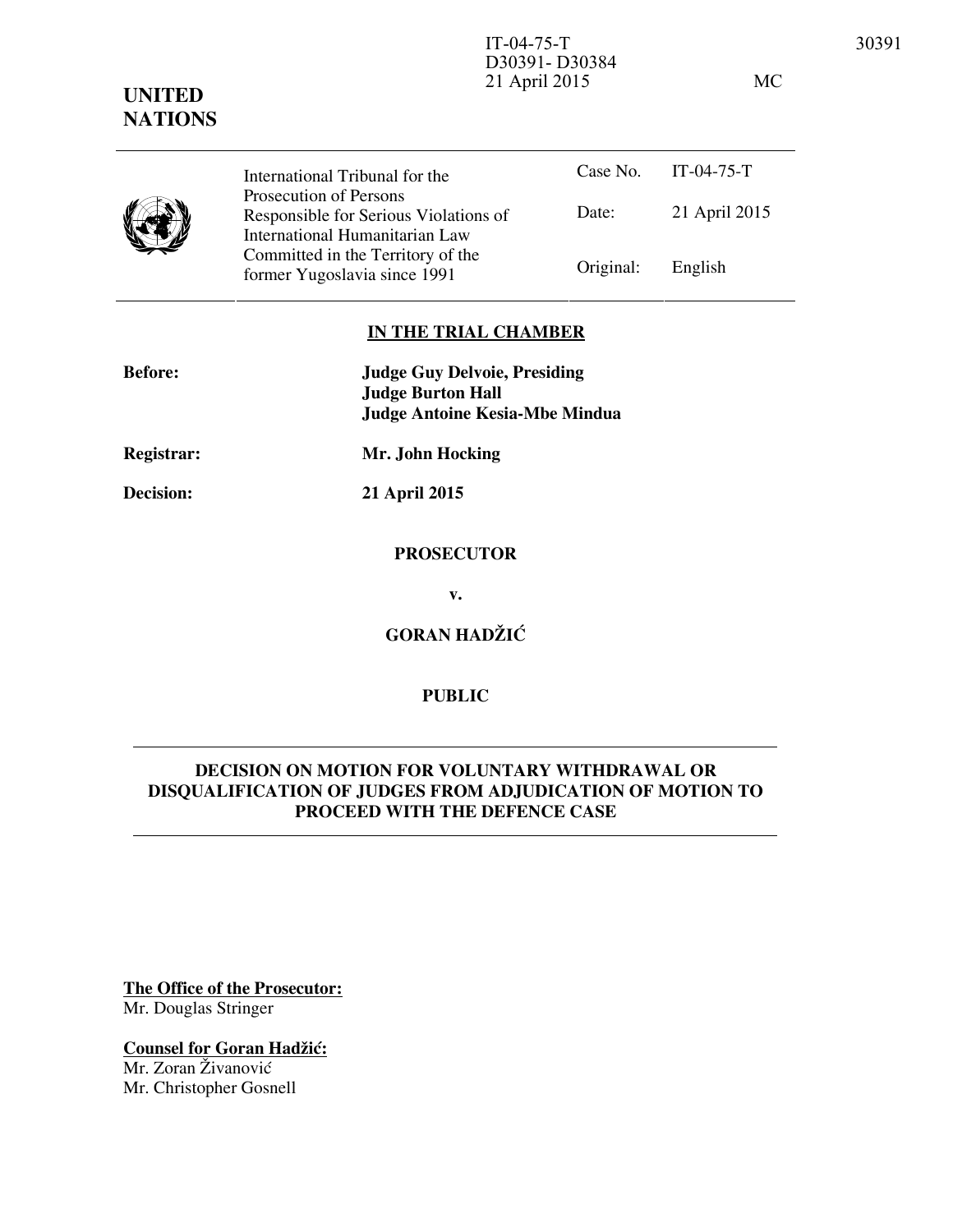21 April 2015 MC

# **UNITED NATIONS** Case No. IT-04-75-T



Date: 21 April 2015 International Tribunal for the Prosecution of Persons Responsible for Serious Violations of International Humanitarian Law Committed in the Territory of the Former Yugoslavia since 1991 Original: English

D30391- D30384

#### **IN THE TRIAL CHAMBER**

| <b>Before:</b>    | <b>Judge Guy Delvoie, Presiding</b><br><b>Judge Burton Hall</b><br><b>Judge Antoine Kesia-Mbe Mindua</b> |
|-------------------|----------------------------------------------------------------------------------------------------------|
| <b>Registrar:</b> | Mr. John Hocking                                                                                         |
| <b>Decision:</b>  | 21 April 2015                                                                                            |
|                   | <b>PROSECUTOR</b>                                                                                        |
|                   | v.                                                                                                       |

**GORAN HADŽIĆ** 

## **PUBLIC**

# **DECISION ON MOTION FOR VOLUNTARY WITHDRAWAL OR DISQUALIFICATION OF JUDGES FROM ADJUDICATION OF MOTION TO PROCEED WITH THE DEFENCE CASE**

**The Office of the Prosecutor:** Mr. Douglas Stringer

**Counsel for Goran Hadžić:** Mr. Zoran Živanović

Mr. Christopher Gosnell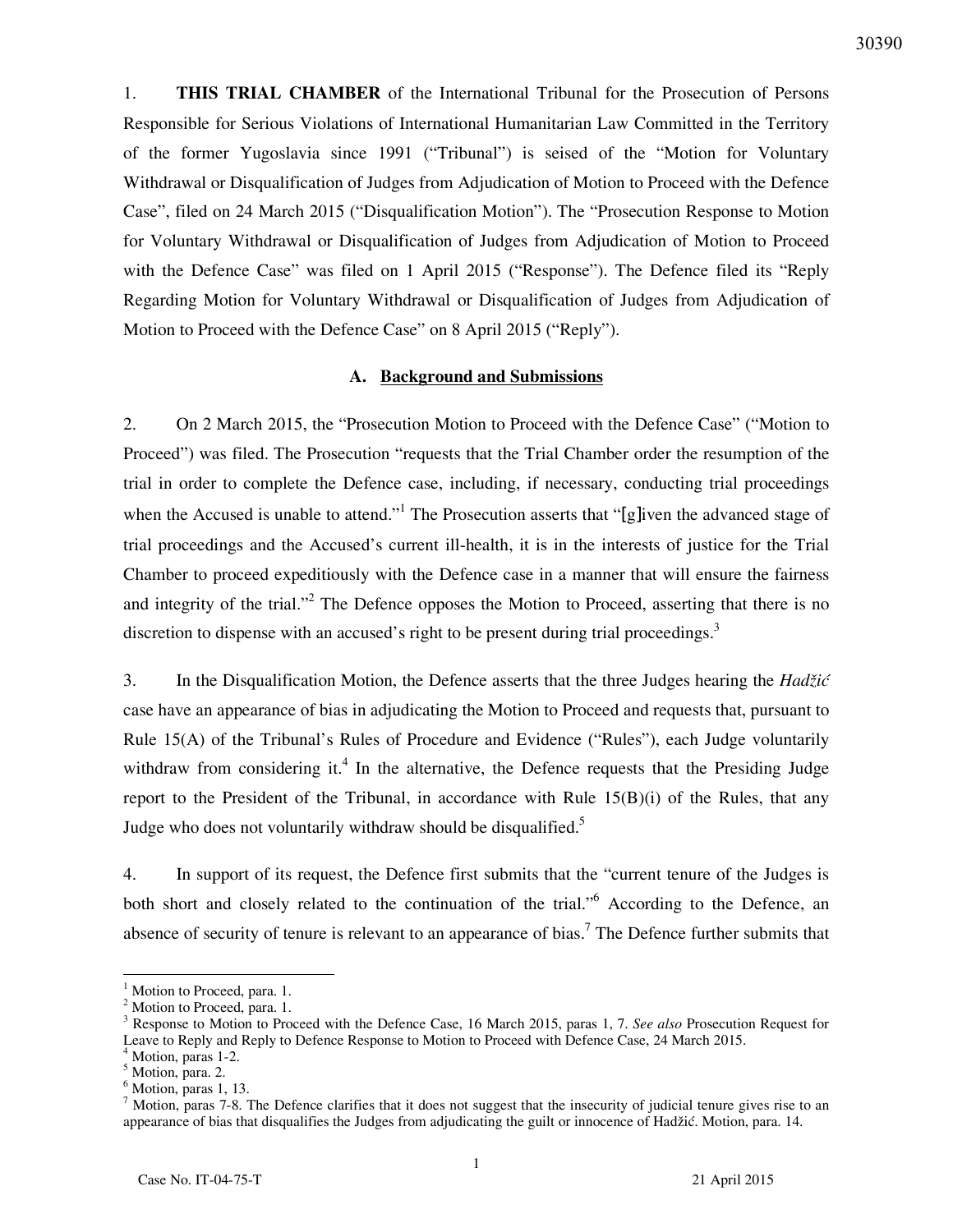1. **THIS TRIAL CHAMBER** of the International Tribunal for the Prosecution of Persons Responsible for Serious Violations of International Humanitarian Law Committed in the Territory of the former Yugoslavia since 1991 ("Tribunal") is seised of the "Motion for Voluntary Withdrawal or Disqualification of Judges from Adjudication of Motion to Proceed with the Defence Case", filed on 24 March 2015 ("Disqualification Motion"). The "Prosecution Response to Motion for Voluntary Withdrawal or Disqualification of Judges from Adjudication of Motion to Proceed with the Defence Case" was filed on 1 April 2015 ("Response"). The Defence filed its "Reply Regarding Motion for Voluntary Withdrawal or Disqualification of Judges from Adjudication of Motion to Proceed with the Defence Case" on 8 April 2015 ("Reply").

#### **A. Background and Submissions**

2. On 2 March 2015, the "Prosecution Motion to Proceed with the Defence Case" ("Motion to Proceed") was filed. The Prosecution "requests that the Trial Chamber order the resumption of the trial in order to complete the Defence case, including, if necessary, conducting trial proceedings when the Accused is unable to attend."<sup>1</sup> The Prosecution asserts that "[g]iven the advanced stage of trial proceedings and the Accused's current ill-health, it is in the interests of justice for the Trial Chamber to proceed expeditiously with the Defence case in a manner that will ensure the fairness and integrity of the trial."<sup>2</sup> The Defence opposes the Motion to Proceed, asserting that there is no discretion to dispense with an accused's right to be present during trial proceedings.<sup>3</sup>

3. In the Disqualification Motion, the Defence asserts that the three Judges hearing the *Hadžić* case have an appearance of bias in adjudicating the Motion to Proceed and requests that, pursuant to Rule 15(A) of the Tribunal's Rules of Procedure and Evidence ("Rules"), each Judge voluntarily withdraw from considering it.<sup>4</sup> In the alternative, the Defence requests that the Presiding Judge report to the President of the Tribunal, in accordance with Rule 15(B)(i) of the Rules, that any Judge who does not voluntarily withdraw should be disqualified.<sup>5</sup>

4. In support of its request, the Defence first submits that the "current tenure of the Judges is both short and closely related to the continuation of the trial."<sup>6</sup> According to the Defence, an absence of security of tenure is relevant to an appearance of bias.<sup>7</sup> The Defence further submits that

<sup>1</sup> Motion to Proceed, para. 1.

 $^2$  Motion to Proceed, para. 1.

Response to Motion to Proceed with the Defence Case, 16 March 2015, paras 1, 7. *See also* Prosecution Request for Leave to Reply and Reply to Defence Response to Motion to Proceed with Defence Case, 24 March 2015.

<sup>4</sup> Motion, paras 1-2.

<sup>&</sup>lt;sup>5</sup> Motion, para. 2.

<sup>6</sup> Motion, paras 1, 13.

 $<sup>7</sup>$  Motion, paras 7-8. The Defence clarifies that it does not suggest that the insecurity of judicial tenure gives rise to an</sup> appearance of bias that disqualifies the Judges from adjudicating the guilt or innocence of Hadžić. Motion, para. 14.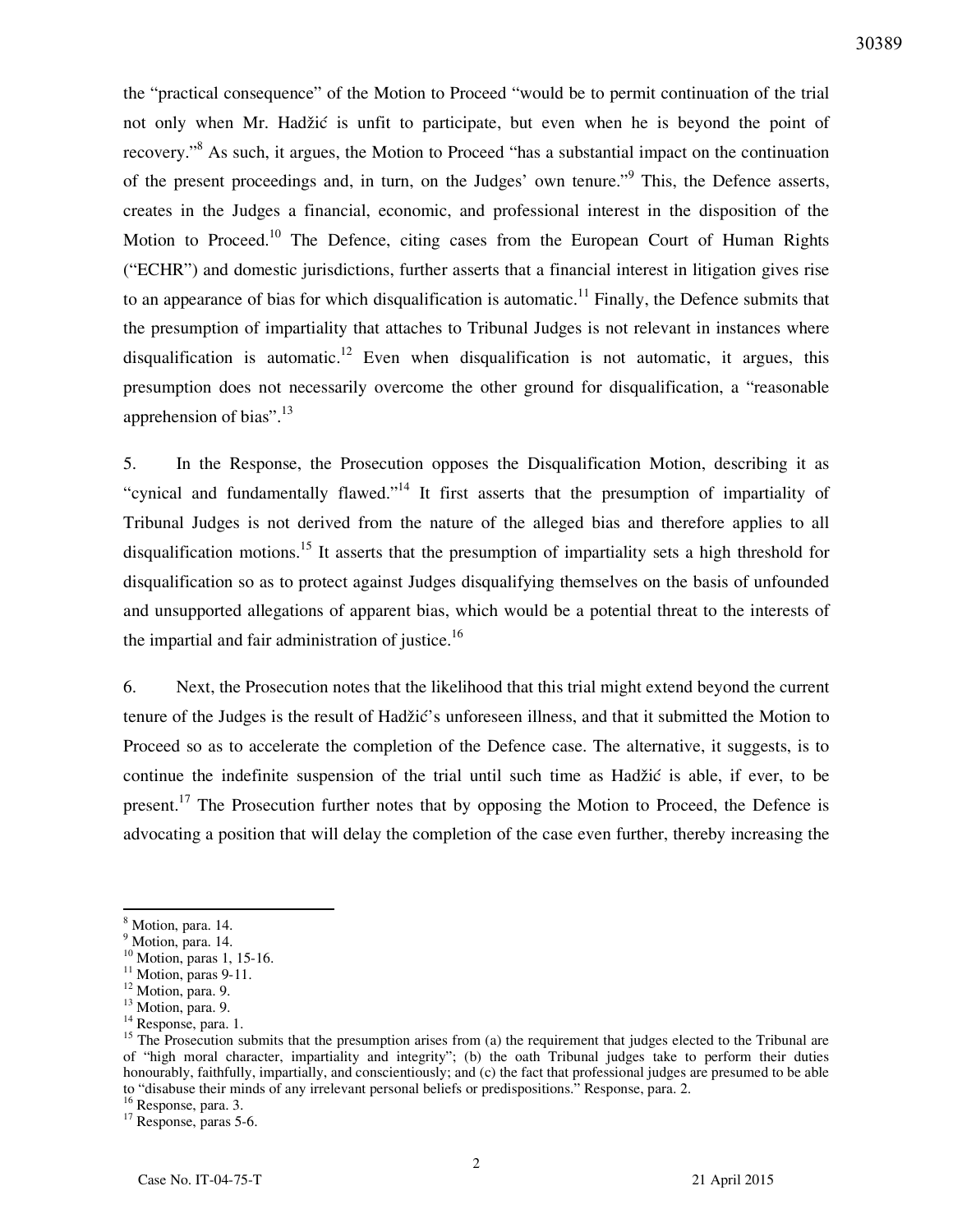the "practical consequence" of the Motion to Proceed "would be to permit continuation of the trial not only when Mr. Hadžić is unfit to participate, but even when he is beyond the point of recovery."<sup>8</sup> As such, it argues, the Motion to Proceed "has a substantial impact on the continuation of the present proceedings and, in turn, on the Judges' own tenure."<sup>9</sup> This, the Defence asserts, creates in the Judges a financial, economic, and professional interest in the disposition of the Motion to Proceed.<sup>10</sup> The Defence, citing cases from the European Court of Human Rights ("ECHR") and domestic jurisdictions, further asserts that a financial interest in litigation gives rise to an appearance of bias for which disqualification is automatic.<sup>11</sup> Finally, the Defence submits that the presumption of impartiality that attaches to Tribunal Judges is not relevant in instances where disqualification is automatic.<sup>12</sup> Even when disqualification is not automatic, it argues, this presumption does not necessarily overcome the other ground for disqualification, a "reasonable apprehension of bias".<sup>13</sup>

5. In the Response, the Prosecution opposes the Disqualification Motion, describing it as "cynical and fundamentally flawed."<sup>14</sup> It first asserts that the presumption of impartiality of Tribunal Judges is not derived from the nature of the alleged bias and therefore applies to all disqualification motions.<sup>15</sup> It asserts that the presumption of impartiality sets a high threshold for disqualification so as to protect against Judges disqualifying themselves on the basis of unfounded and unsupported allegations of apparent bias, which would be a potential threat to the interests of the impartial and fair administration of justice.<sup>16</sup>

6. Next, the Prosecution notes that the likelihood that this trial might extend beyond the current tenure of the Judges is the result of Hadžić's unforeseen illness, and that it submitted the Motion to Proceed so as to accelerate the completion of the Defence case. The alternative, it suggests, is to continue the indefinite suspension of the trial until such time as Hadžić is able, if ever, to be present.<sup>17</sup> The Prosecution further notes that by opposing the Motion to Proceed, the Defence is advocating a position that will delay the completion of the case even further, thereby increasing the

 $\overline{a}$ 

<sup>16</sup> Response, para. 3.

<sup>17</sup> Response, paras 5-6.

<sup>&</sup>lt;sup>8</sup> Motion, para. 14.

<sup>&</sup>lt;sup>9</sup> Motion, para. 14.

<sup>&</sup>lt;sup>10</sup> Motion, paras 1, 15-16.

<sup>&</sup>lt;sup>11</sup> Motion, paras 9-11.

<sup>&</sup>lt;sup>12</sup> Motion, para. 9.

<sup>&</sup>lt;sup>13</sup> Motion, para. 9.

<sup>&</sup>lt;sup>14</sup> Response, para. 1.

<sup>&</sup>lt;sup>15</sup> The Prosecution submits that the presumption arises from (a) the requirement that judges elected to the Tribunal are of "high moral character, impartiality and integrity"; (b) the oath Tribunal judges take to perform their duties honourably, faithfully, impartially, and conscientiously; and (c) the fact that professional judges are presumed to be able to "disabuse their minds of any irrelevant personal beliefs or predispositions." Response, para. 2.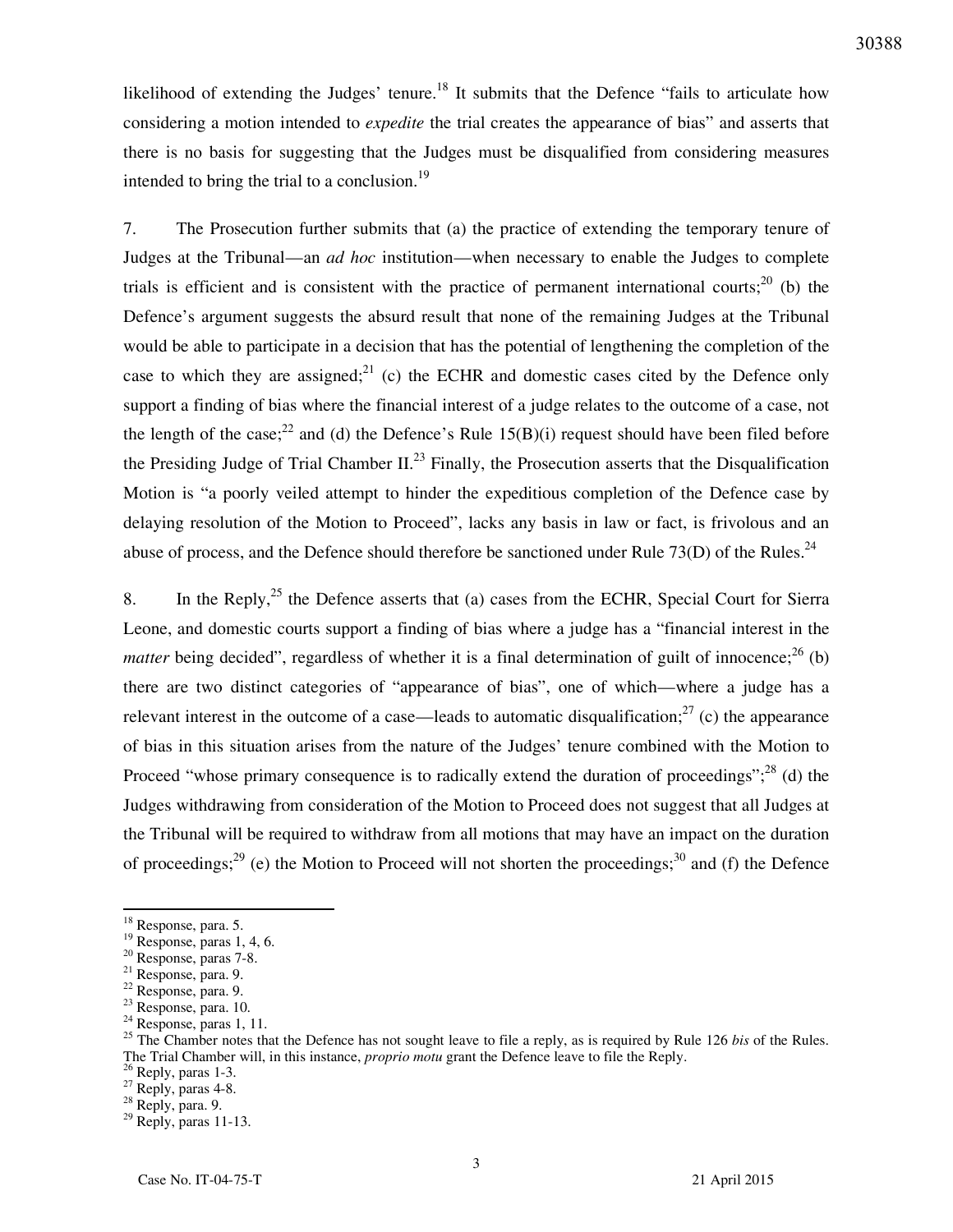likelihood of extending the Judges' tenure.<sup>18</sup> It submits that the Defence "fails to articulate how considering a motion intended to *expedite* the trial creates the appearance of bias" and asserts that there is no basis for suggesting that the Judges must be disqualified from considering measures intended to bring the trial to a conclusion.<sup>19</sup>

7. The Prosecution further submits that (a) the practice of extending the temporary tenure of Judges at the Tribunal—an *ad hoc* institution—when necessary to enable the Judges to complete trials is efficient and is consistent with the practice of permanent international courts;<sup>20</sup> (b) the Defence's argument suggests the absurd result that none of the remaining Judges at the Tribunal would be able to participate in a decision that has the potential of lengthening the completion of the case to which they are assigned;  $^{21}$  (c) the ECHR and domestic cases cited by the Defence only support a finding of bias where the financial interest of a judge relates to the outcome of a case, not the length of the case;<sup>22</sup> and (d) the Defence's Rule 15(B)(i) request should have been filed before the Presiding Judge of Trial Chamber II.<sup>23</sup> Finally, the Prosecution asserts that the Disqualification Motion is "a poorly veiled attempt to hinder the expeditious completion of the Defence case by delaying resolution of the Motion to Proceed", lacks any basis in law or fact, is frivolous and an abuse of process, and the Defence should therefore be sanctioned under Rule 73(D) of the Rules.<sup>24</sup>

8. In the Reply,  $2^5$  the Defence asserts that (a) cases from the ECHR, Special Court for Sierra Leone, and domestic courts support a finding of bias where a judge has a "financial interest in the *matter* being decided", regardless of whether it is a final determination of guilt of innocence;<sup>26</sup> (b) there are two distinct categories of "appearance of bias", one of which—where a judge has a relevant interest in the outcome of a case—leads to automatic disqualification;<sup>27</sup> (c) the appearance of bias in this situation arises from the nature of the Judges' tenure combined with the Motion to Proceed "whose primary consequence is to radically extend the duration of proceedings";  $^{28}$  (d) the Judges withdrawing from consideration of the Motion to Proceed does not suggest that all Judges at the Tribunal will be required to withdraw from all motions that may have an impact on the duration of proceedings;<sup>29</sup> (e) the Motion to Proceed will not shorten the proceedings;<sup>30</sup> and (f) the Defence

<sup>&</sup>lt;sup>18</sup> Response, para. 5.

 $19$  Response, paras 1, 4, 6.

<sup>20</sup> Response, paras 7-8.

<sup>21</sup> Response, para. 9.

 $22$  Response, para. 9.

<sup>23</sup> Response, para. 10.

 $24$  Response, paras 1, 11.

<sup>&</sup>lt;sup>25</sup> The Chamber notes that the Defence has not sought leave to file a reply, as is required by Rule 126 *bis* of the Rules. The Trial Chamber will, in this instance, *proprio motu* grant the Defence leave to file the Reply.

<sup>&</sup>lt;sup>26</sup> Reply, paras 1-3.

 $^{27}$  Reply, paras 4-8.

<sup>28</sup> Reply, para. 9.

 $29$  Reply, paras 11-13.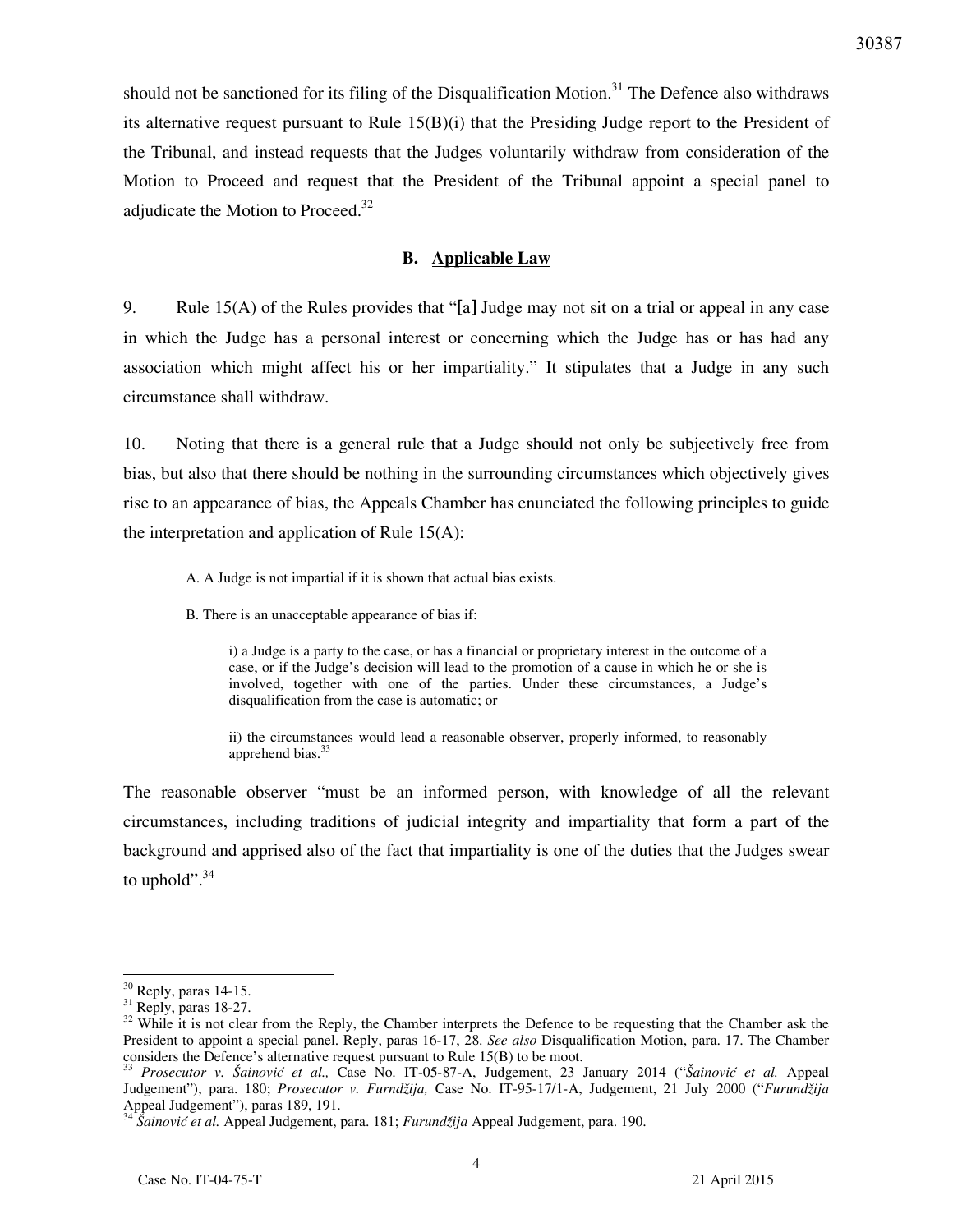should not be sanctioned for its filing of the Disqualification Motion.<sup>31</sup> The Defence also withdraws its alternative request pursuant to Rule  $15(B)(i)$  that the Presiding Judge report to the President of the Tribunal, and instead requests that the Judges voluntarily withdraw from consideration of the Motion to Proceed and request that the President of the Tribunal appoint a special panel to adjudicate the Motion to Proceed. $32$ 

#### **B. Applicable Law**

9. Rule 15(A) of the Rules provides that "[a] Judge may not sit on a trial or appeal in any case in which the Judge has a personal interest or concerning which the Judge has or has had any association which might affect his or her impartiality." It stipulates that a Judge in any such circumstance shall withdraw.

10. Noting that there is a general rule that a Judge should not only be subjectively free from bias, but also that there should be nothing in the surrounding circumstances which objectively gives rise to an appearance of bias, the Appeals Chamber has enunciated the following principles to guide the interpretation and application of Rule 15(A):

A. A Judge is not impartial if it is shown that actual bias exists.

B. There is an unacceptable appearance of bias if:

i) a Judge is a party to the case, or has a financial or proprietary interest in the outcome of a case, or if the Judge's decision will lead to the promotion of a cause in which he or she is involved, together with one of the parties. Under these circumstances, a Judge's disqualification from the case is automatic; or

ii) the circumstances would lead a reasonable observer, properly informed, to reasonably apprehend bias.<sup>33</sup>

The reasonable observer "must be an informed person, with knowledge of all the relevant circumstances, including traditions of judicial integrity and impartiality that form a part of the background and apprised also of the fact that impartiality is one of the duties that the Judges swear to uphold". $34$ 

<sup>30</sup> Reply, paras 14-15.

 $31$  Reply, paras 18-27.

<sup>&</sup>lt;sup>32</sup> While it is not clear from the Reply, the Chamber interprets the Defence to be requesting that the Chamber ask the President to appoint a special panel. Reply, paras 16-17, 28. *See also* Disqualification Motion, para. 17. The Chamber considers the Defence's alternative request pursuant to Rule 15(B) to be moot.

<sup>33</sup> *Prosecutor v. Šainović et al.,* Case No. IT-05-87-A, Judgement, 23 January 2014 ("*Šainović et al.* Appeal Judgement"), para. 180; *Prosecutor v. Furndžija,* Case No. IT-95-17/1-A, Judgement, 21 July 2000 ("*Furundžija*  Appeal Judgement"), paras 189, 191.

<sup>34</sup> *Šainović et al.* Appeal Judgement, para. 181; *Furundžija* Appeal Judgement, para. 190.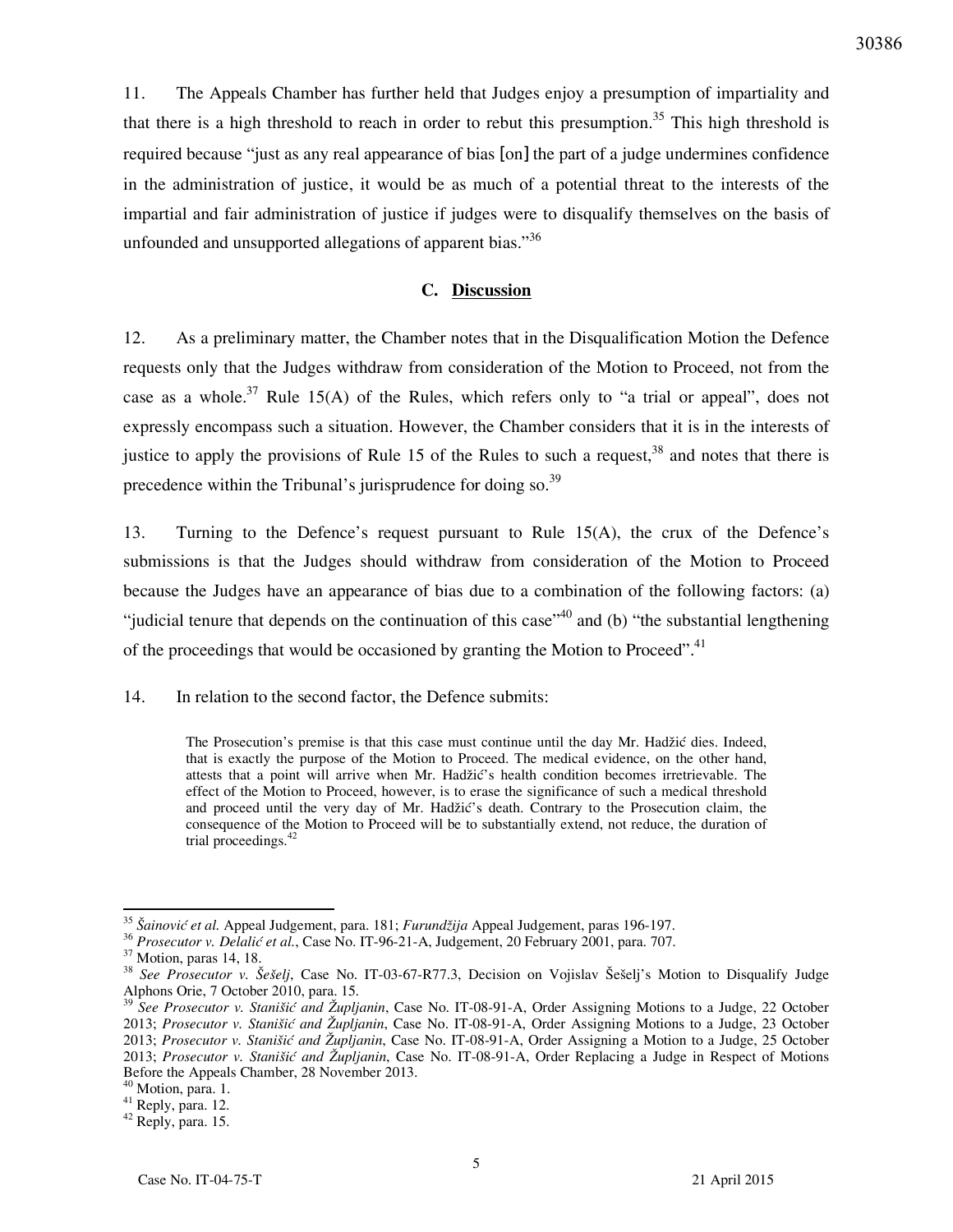11. The Appeals Chamber has further held that Judges enjoy a presumption of impartiality and that there is a high threshold to reach in order to rebut this presumption.<sup>35</sup> This high threshold is required because "just as any real appearance of bias [on] the part of a judge undermines confidence in the administration of justice, it would be as much of a potential threat to the interests of the impartial and fair administration of justice if judges were to disqualify themselves on the basis of unfounded and unsupported allegations of apparent bias."<sup>36</sup>

## **C. Discussion**

12. As a preliminary matter, the Chamber notes that in the Disqualification Motion the Defence requests only that the Judges withdraw from consideration of the Motion to Proceed, not from the case as a whole.<sup>37</sup> Rule 15(A) of the Rules, which refers only to "a trial or appeal", does not expressly encompass such a situation. However, the Chamber considers that it is in the interests of justice to apply the provisions of Rule 15 of the Rules to such a request,  $38$  and notes that there is precedence within the Tribunal's jurisprudence for doing so. $39$ 

13. Turning to the Defence's request pursuant to Rule 15(A), the crux of the Defence's submissions is that the Judges should withdraw from consideration of the Motion to Proceed because the Judges have an appearance of bias due to a combination of the following factors: (a) "judicial tenure that depends on the continuation of this case"<sup>40</sup> and (b) "the substantial lengthening of the proceedings that would be occasioned by granting the Motion to Proceed".<sup>41</sup>

14. In relation to the second factor, the Defence submits:

The Prosecution's premise is that this case must continue until the day Mr. Hadžić dies. Indeed, that is exactly the purpose of the Motion to Proceed. The medical evidence, on the other hand, attests that a point will arrive when Mr. Hadžić's health condition becomes irretrievable. The effect of the Motion to Proceed, however, is to erase the significance of such a medical threshold and proceed until the very day of Mr. Hadžić's death. Contrary to the Prosecution claim, the consequence of the Motion to Proceed will be to substantially extend, not reduce, the duration of trial proceedings.<sup>4</sup>

 $\overline{a}$ <sup>35</sup> *Šainović et al.* Appeal Judgement, para. 181; *Furundžija* Appeal Judgement, paras 196-197.

<sup>36</sup> *Prosecutor v. Delalić et al.*, Case No. IT-96-21-A, Judgement, 20 February 2001, para. 707.

<sup>&</sup>lt;sup>37</sup> Motion, paras 14, 18.

<sup>38</sup> *See Prosecutor v. Šešelj*, Case No. IT-03-67-R77.3, Decision on Vojislav Šešelj's Motion to Disqualify Judge Alphons Orie, 7 October 2010, para. 15.<br> $39 \text{ kg}$ 

<sup>39</sup> *See Prosecutor v. Stanišić and Župljanin*, Case No. IT-08-91-A, Order Assigning Motions to a Judge, 22 October 2013; *Prosecutor v. Stanišić and Župljanin*, Case No. IT-08-91-A, Order Assigning Motions to a Judge, 23 October 2013; *Prosecutor v. Stanišić and Župljanin*, Case No. IT-08-91-A, Order Assigning a Motion to a Judge, 25 October 2013; *Prosecutor v. Stanišić and Župljanin*, Case No. IT-08-91-A, Order Replacing a Judge in Respect of Motions Before the Appeals Chamber, 28 November 2013.

<sup>&</sup>lt;sup>40</sup> Motion, para. 1.

 $^{41}$  Reply, para. 12.

<sup>42</sup> Reply, para. 15.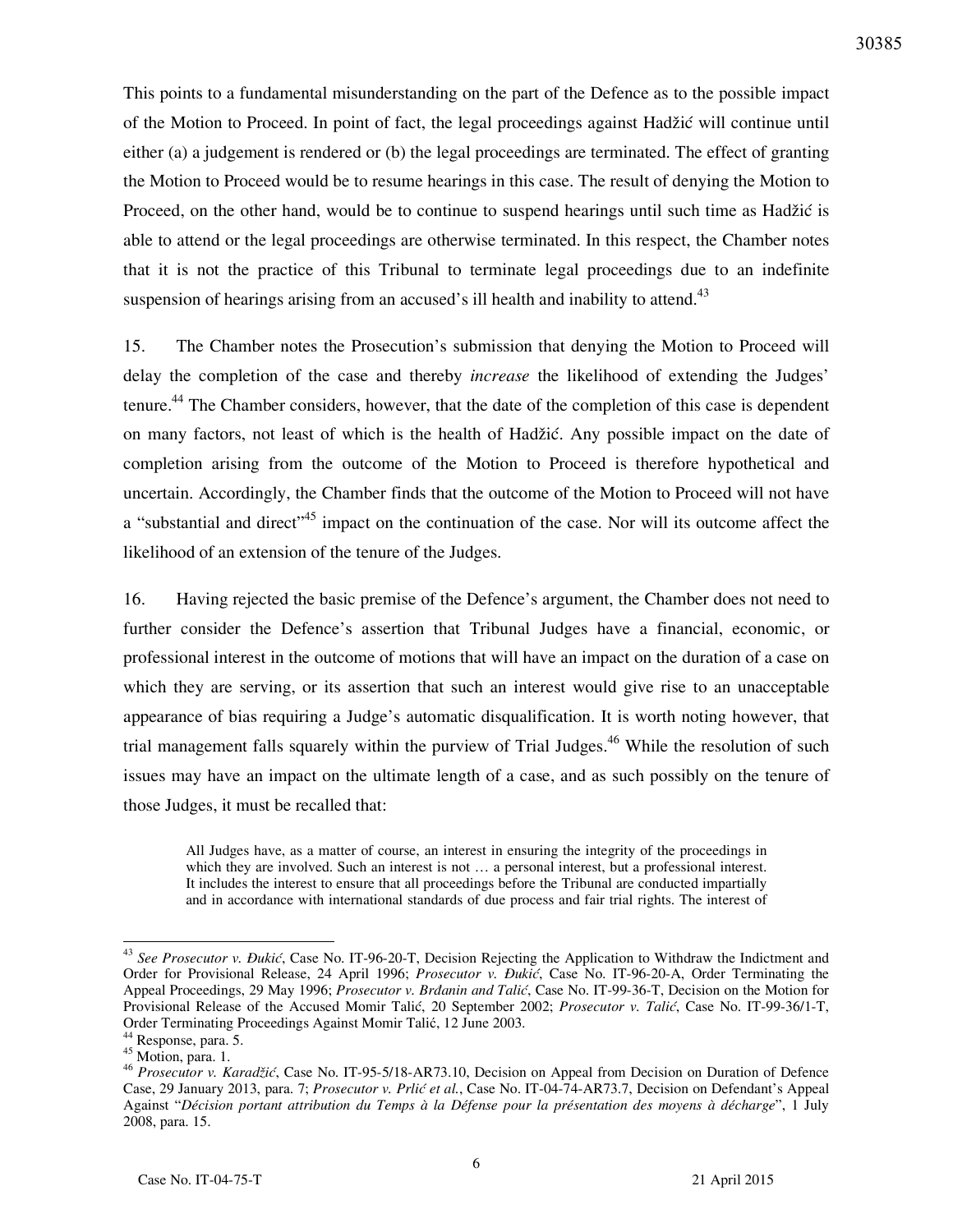This points to a fundamental misunderstanding on the part of the Defence as to the possible impact of the Motion to Proceed. In point of fact, the legal proceedings against Hadžić will continue until either (a) a judgement is rendered or (b) the legal proceedings are terminated. The effect of granting the Motion to Proceed would be to resume hearings in this case. The result of denying the Motion to Proceed, on the other hand, would be to continue to suspend hearings until such time as Hadžić is able to attend or the legal proceedings are otherwise terminated. In this respect, the Chamber notes that it is not the practice of this Tribunal to terminate legal proceedings due to an indefinite suspension of hearings arising from an accused's ill health and inability to attend.<sup>43</sup>

15. The Chamber notes the Prosecution's submission that denying the Motion to Proceed will delay the completion of the case and thereby *increase* the likelihood of extending the Judges' tenure.<sup>44</sup> The Chamber considers, however, that the date of the completion of this case is dependent on many factors, not least of which is the health of Hadžić. Any possible impact on the date of completion arising from the outcome of the Motion to Proceed is therefore hypothetical and uncertain. Accordingly, the Chamber finds that the outcome of the Motion to Proceed will not have a "substantial and direct"<sup>45</sup> impact on the continuation of the case. Nor will its outcome affect the likelihood of an extension of the tenure of the Judges.

16. Having rejected the basic premise of the Defence's argument, the Chamber does not need to further consider the Defence's assertion that Tribunal Judges have a financial, economic, or professional interest in the outcome of motions that will have an impact on the duration of a case on which they are serving, or its assertion that such an interest would give rise to an unacceptable appearance of bias requiring a Judge's automatic disqualification. It is worth noting however, that trial management falls squarely within the purview of Trial Judges.<sup>46</sup> While the resolution of such issues may have an impact on the ultimate length of a case, and as such possibly on the tenure of those Judges, it must be recalled that:

All Judges have, as a matter of course, an interest in ensuring the integrity of the proceedings in which they are involved. Such an interest is not ... a personal interest, but a professional interest. It includes the interest to ensure that all proceedings before the Tribunal are conducted impartially and in accordance with international standards of due process and fair trial rights. The interest of

<sup>&</sup>lt;sup>43</sup> See Prosecutor v. Đukić, Case No. IT-96-20-T, Decision Rejecting the Application to Withdraw the Indictment and Order for Provisional Release, 24 April 1996; *Prosecutor v. Ðukić*, Case No. IT-96-20-A, Order Terminating the Appeal Proceedings, 29 May 1996; *Prosecutor v. Brdanin and Talić*, Case No. IT-99-36-T, Decision on the Motion for Provisional Release of the Accused Momir Talić, 20 September 2002; *Prosecutor v. Talić*, Case No. IT-99-36/1-T, Order Terminating Proceedings Against Momir Talić, 12 June 2003.

<sup>44</sup> Response, para. 5.

 $45$  Motion, para. 1.

<sup>46</sup> *Prosecutor v. Karadžić*, Case No. IT-95-5/18-AR73.10, Decision on Appeal from Decision on Duration of Defence Case, 29 January 2013, para. 7; *Prosecutor v. Prlić et al.*, Case No. IT-04-74-AR73.7, Decision on Defendant's Appeal Against "*Décision portant attribution du Temps à la Défense pour la présentation des moyens à décharge*", 1 July 2008, para. 15.